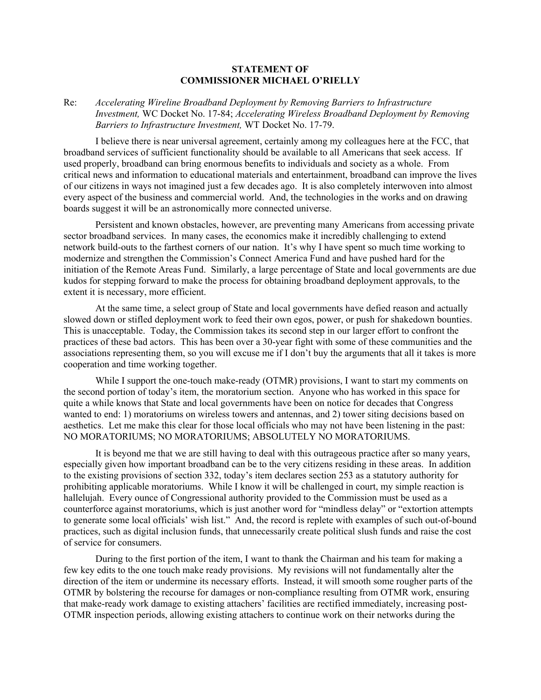## **STATEMENT OF COMMISSIONER MICHAEL O'RIELLY**

## Re: *Accelerating Wireline Broadband Deployment by Removing Barriers to Infrastructure Investment,* WC Docket No. 17-84; *Accelerating Wireless Broadband Deployment by Removing Barriers to Infrastructure Investment,* WT Docket No. 17-79.

I believe there is near universal agreement, certainly among my colleagues here at the FCC, that broadband services of sufficient functionality should be available to all Americans that seek access. If used properly, broadband can bring enormous benefits to individuals and society as a whole. From critical news and information to educational materials and entertainment, broadband can improve the lives of our citizens in ways not imagined just a few decades ago. It is also completely interwoven into almost every aspect of the business and commercial world. And, the technologies in the works and on drawing boards suggest it will be an astronomically more connected universe.

Persistent and known obstacles, however, are preventing many Americans from accessing private sector broadband services. In many cases, the economics make it incredibly challenging to extend network build-outs to the farthest corners of our nation. It's why I have spent so much time working to modernize and strengthen the Commission's Connect America Fund and have pushed hard for the initiation of the Remote Areas Fund. Similarly, a large percentage of State and local governments are due kudos for stepping forward to make the process for obtaining broadband deployment approvals, to the extent it is necessary, more efficient.

At the same time, a select group of State and local governments have defied reason and actually slowed down or stifled deployment work to feed their own egos, power, or push for shakedown bounties. This is unacceptable. Today, the Commission takes its second step in our larger effort to confront the practices of these bad actors. This has been over a 30-year fight with some of these communities and the associations representing them, so you will excuse me if I don't buy the arguments that all it takes is more cooperation and time working together.

While I support the one-touch make-ready (OTMR) provisions, I want to start my comments on the second portion of today's item, the moratorium section. Anyone who has worked in this space for quite a while knows that State and local governments have been on notice for decades that Congress wanted to end: 1) moratoriums on wireless towers and antennas, and 2) tower siting decisions based on aesthetics. Let me make this clear for those local officials who may not have been listening in the past: NO MORATORIUMS; NO MORATORIUMS; ABSOLUTELY NO MORATORIUMS.

It is beyond me that we are still having to deal with this outrageous practice after so many years, especially given how important broadband can be to the very citizens residing in these areas. In addition to the existing provisions of section 332, today's item declares section 253 as a statutory authority for prohibiting applicable moratoriums. While I know it will be challenged in court, my simple reaction is hallelujah. Every ounce of Congressional authority provided to the Commission must be used as a counterforce against moratoriums, which is just another word for "mindless delay" or "extortion attempts to generate some local officials' wish list." And, the record is replete with examples of such out-of-bound practices, such as digital inclusion funds, that unnecessarily create political slush funds and raise the cost of service for consumers.

During to the first portion of the item, I want to thank the Chairman and his team for making a few key edits to the one touch make ready provisions. My revisions will not fundamentally alter the direction of the item or undermine its necessary efforts. Instead, it will smooth some rougher parts of the OTMR by bolstering the recourse for damages or non-compliance resulting from OTMR work, ensuring that make-ready work damage to existing attachers' facilities are rectified immediately, increasing post-OTMR inspection periods, allowing existing attachers to continue work on their networks during the